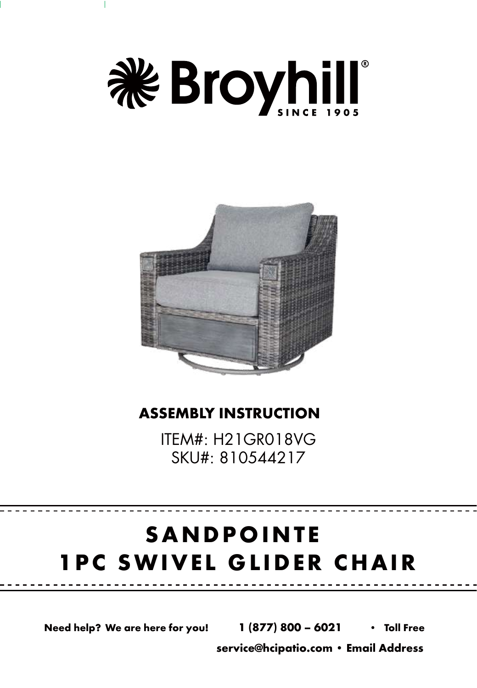



#### **ASSEMBLY INSTRUCTION**

ITEM#: H21GR018VG SKU#: 810544217

## **SANDPOINTE 1PC SWIVEL GLIDER CHAIR**

**Need help? We are here for you! 1 (877) 800 – 6021 • Toll Free**

**service@hcipatio.com • Email Address**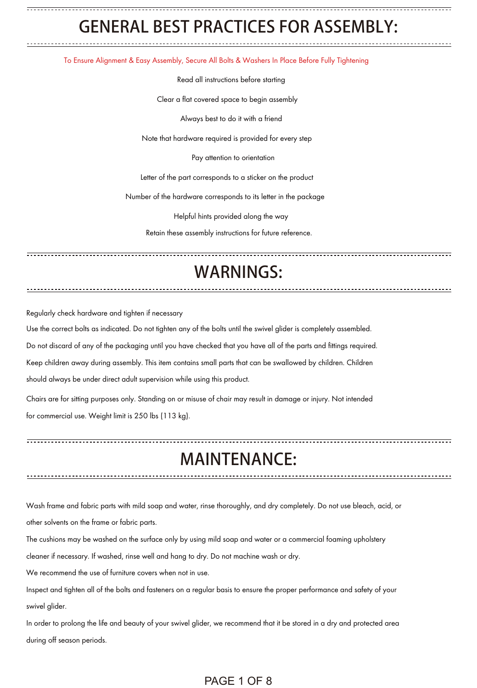### GENERAL BEST PRACTICES FOR ASSEMBLY:

To Ensure Alignment & Easy Assembly, Secure All Bolts & Washers In Place Before Fully Tightening

Read all instructions before starting

Clear a flat covered space to begin assembly

Always best to do it with a friend

Note that hardware required is provided for every step

Pay attention to orientation

Letter of the part corresponds to a sticker on the product

Number of the hardware corresponds to its letter in the package

Helpful hints provided along the way

Retain these assembly instructions for future reference.

#### WARNINGS:

Regularly check hardware and tighten if necessary

Use the correct bolts as indicated. Do not tighten any of the bolts until the swivel glider is completely assembled.

Do not discard of any of the packaging until you have checked that you have all of the parts and fittings required.

Keep children away during assembly. This item contains small parts that can be swallowed by children. Children

should always be under direct adult supervision while using this product.

Chairs are for sitting purposes only. Standing on or misuse of chair may result in damage or injury. Not intended for commercial use. Weight limit is 250 lbs (113 kg).

#### MAINTENANCE:

Wash frame and fabric parts with mild soap and water, rinse thoroughly, and dry completely. Do not use bleach, acid, or other solvents on the frame or fabric parts.

The cushions may be washed on the surface only by using mild soap and water or a commercial foaming upholstery

cleaner if necessary. If washed, rinse well and hang to dry. Do not machine wash or dry.

We recommend the use of furniture covers when not in use.

Inspect and tighten all of the bolts and fasteners on a regular basis to ensure the proper performance and safety of your swivel glider.

In order to prolong the life and beauty of your swivel glider, we recommend that it be stored in a dry and protected area during off season periods.

#### PAGE 1 OF 8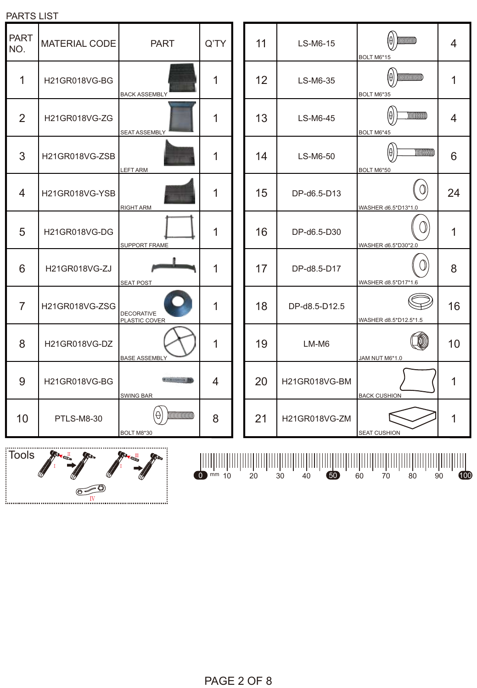|                                                                                                                             |                   | <b>I</b> SWING BAR     |   |  |    |               | <b>BACK CUSHION</b> |  |  |  |
|-----------------------------------------------------------------------------------------------------------------------------|-------------------|------------------------|---|--|----|---------------|---------------------|--|--|--|
| 0                                                                                                                           | <b>PTLS-M8-30</b> | $\Theta$<br>BOLT M8*30 | 8 |  | 21 | H21GR018VG-ZM | <b>SEAT CUSHION</b> |  |  |  |
| <br>ols<br>VID<br>1<br>H<br>$\overline{0}$<br>100<br>mm <sub>10</sub><br>50<br>30<br>20<br>60<br>90<br>70<br>80<br>40<br>⋐⋖ |                   |                        |   |  |    |               |                     |  |  |  |

| <b>PART</b><br>NO. | <b>MATERIAL CODE</b> | <b>PART</b>                                                                                                                              | Q'TY |
|--------------------|----------------------|------------------------------------------------------------------------------------------------------------------------------------------|------|
| 1                  | <b>H21GR018VG-BG</b> | <b>BACK ASSEMBLY</b>                                                                                                                     | 1    |
| 2                  | H21GR018VG-ZG        | <b>SEAT ASSEMBLY</b>                                                                                                                     |      |
| 3                  | H21GR018VG-ZSB       | <b>LEFT ARM</b>                                                                                                                          |      |
| 4                  | H21GR018VG-YSB       | <b>RIGHT ARM</b>                                                                                                                         | 1    |
| 5                  | H21GR018VG-DG        | SUPPORT FRAME                                                                                                                            | 1    |
| 6                  | <b>H21GR018VG-ZJ</b> | <b>SEAT POST</b>                                                                                                                         | 1    |
| 7                  | H21GR018VG-ZSG       | <b>DECORATIVE</b><br>PLASTIC COVER                                                                                                       |      |
| 8                  | H21GR018VG-DZ        | <b>BASE ASSEMBLY</b>                                                                                                                     |      |
| 9                  | H21GR018VG-BG        | <b>Constraining</b> Sta<br><b>SWING BAR</b>                                                                                              | 4    |
| 10                 | <b>PTLS-M8-30</b>    | $\begin{minipage}{.4\linewidth} \begin{tabular}{l} \hline \multicolumn{1}{c}{\textbf{minim}} \end{tabular} \end{minipage}$<br>BOLT M8*30 | 8    |

PARTS LIST

 $\overline{\phantom{a}}$  Tools

| 11 | LS-M6-15      | $\overline{$<br>BOLT M6*15               | 4  |
|----|---------------|------------------------------------------|----|
| 12 | LS-M6-35      | <b>MUNICIPALITY</b><br>Iθ<br>BOLT M6*35  | 1  |
| 13 | LS-M6-45      | $\overline{\text{minmin}}$<br>BOLT M6*45 | 4  |
| 14 | LS-M6-50      | BOLT M6*50                               | 6  |
| 15 | DP-d6.5-D13   | WASHER d6.5*D13*1.0                      | 24 |
| 16 | DP-d6.5-D30   | WASHER d6.5*D30*2.0                      | 1  |
| 17 | DP-d8.5-D17   | WASHER d8.5*D17*1.6                      | 8  |
| 18 | DP-d8.5-D12.5 | WASHER d8.5*D12.5*1.5                    | 16 |
| 19 | LM-M6         | JAM NUT M6*1.0                           | 10 |
| 20 | H21GR018VG-BM | <b>BACK CUSHION</b>                      | 1  |
| 21 | H21GR018VG-ZM | <b>SEAT CUSHION</b>                      |    |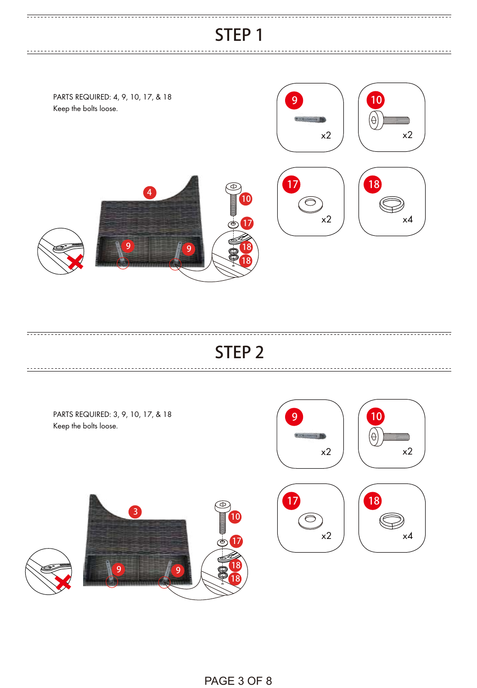. **. . . . . . . . . . . . . . . . . .** .

<u>-----------------------------</u>

. . . . . . . . .

<u>----------------</u>



#### STEP 2



PAGE 3 OF 8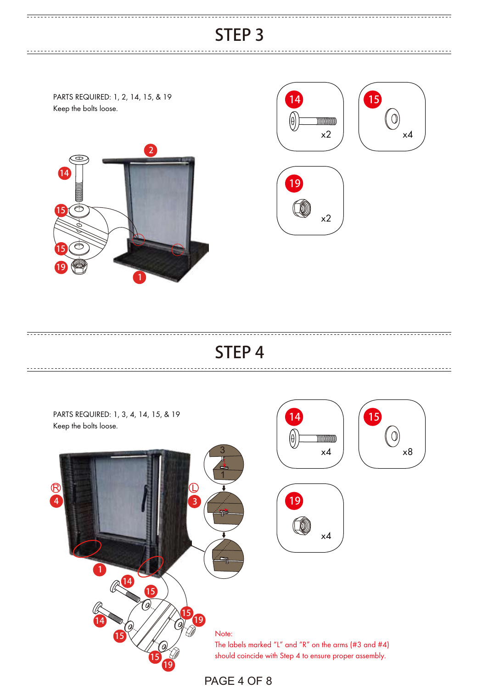. . . . . . . . . . . . . . . . . . .

PARTS REQUIRED: 1, 2, 14, 15, & 19 Keep the bolts loose.









### STEP 4

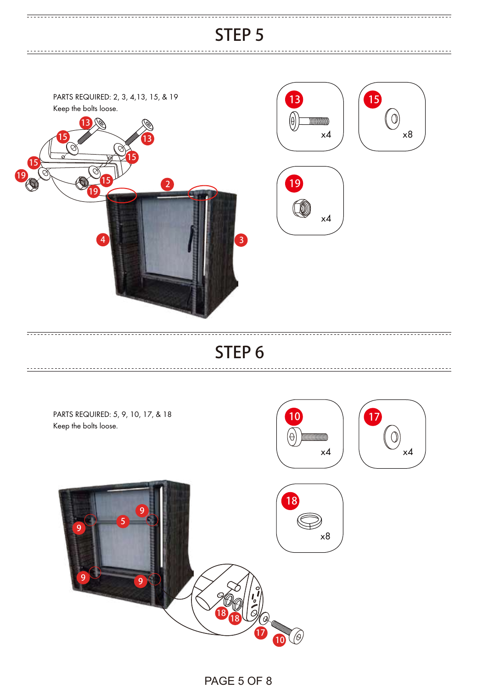------------------

<u>-----------------------------</u>



#### STEP 6



PAGE 5 OF 8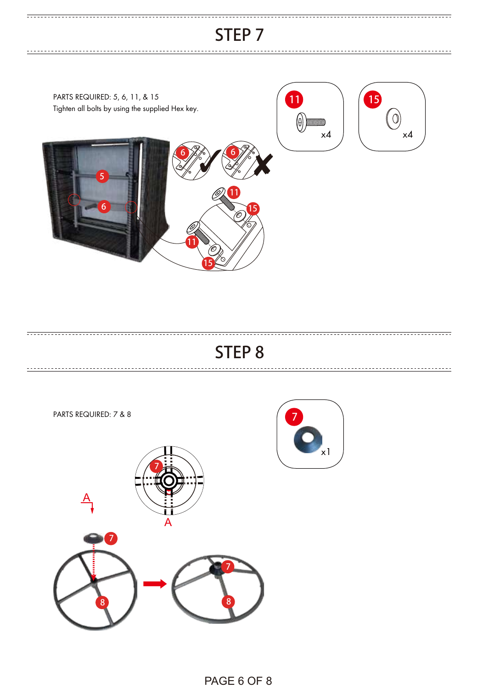. . . . . . . . . . . . . . . . . . .

<u>----------------------------</u>

PARTS REQUIRED: 5, 6, 11, & 15 11 15 Tighten all bolts by using the supplied Hex key.  $\left(\begin{smallmatrix} 0 \ 0 \end{smallmatrix}\right)$  $\Theta$  minim  $\times$ 4  $\overline{\phantom{a}}$   $\times$   $\overline{\phantom{a}}$   $\times$   $\overline{\phantom{a}}$  $6$  /  $\approx$  6 5 11 (6) 6 15 11 15

#### STEP 8



PAGE 6 OF 8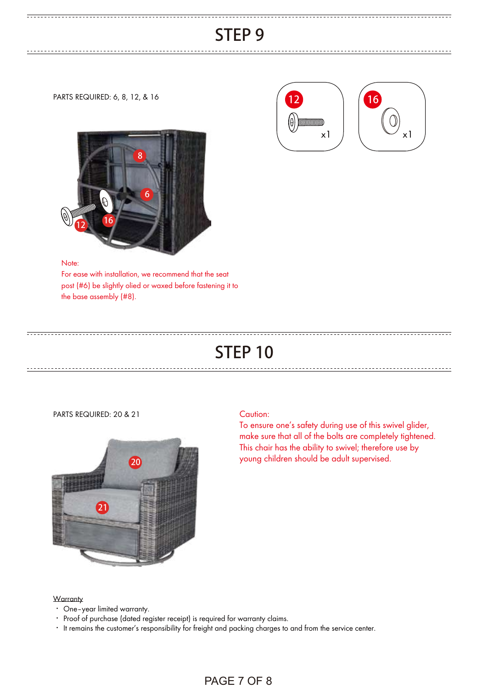PARTS REQUIRED: 6, 8, 12, & 16







#### Note:

For ease with installation, we recommend that the seat post (#6) be slightly olied or waxed before fastening it to the base assembly (#8).

### STEP 10

PARTS REQUIRED: 20 & 21 Caution:



To ensure one's safety during use of this swivel glider, make sure that all of the bolts are completely tightened. This chair has the ability to swivel; therefore use by young children should be adult supervised.

#### **Warranty**

- ‧ One–year limited warranty.
- ‧ Proof of purchase (dated register receipt) is required for warranty claims.
- ‧ It remains the customer's responsibility for freight and packing charges to and from the service center.

#### PAGE 7 OF 8